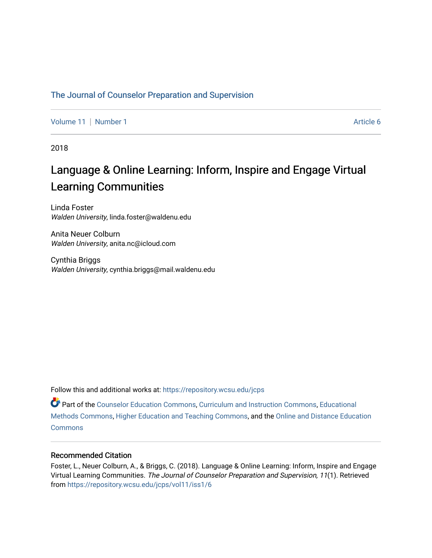# [The Journal of Counselor Preparation and Supervision](https://repository.wcsu.edu/jcps)

[Volume 11](https://repository.wcsu.edu/jcps/vol11) [Number 1](https://repository.wcsu.edu/jcps/vol11/iss1) Article 6

2018

# Language & Online Learning: Inform, Inspire and Engage Virtual Learning Communities

Linda Foster Walden University, linda.foster@waldenu.edu

Anita Neuer Colburn Walden University, anita.nc@icloud.com

Cynthia Briggs Walden University, cynthia.briggs@mail.waldenu.edu

Follow this and additional works at: [https://repository.wcsu.edu/jcps](https://repository.wcsu.edu/jcps?utm_source=repository.wcsu.edu%2Fjcps%2Fvol11%2Fiss1%2F6&utm_medium=PDF&utm_campaign=PDFCoverPages) 

Part of the [Counselor Education Commons,](http://network.bepress.com/hgg/discipline/1278?utm_source=repository.wcsu.edu%2Fjcps%2Fvol11%2Fiss1%2F6&utm_medium=PDF&utm_campaign=PDFCoverPages) [Curriculum and Instruction Commons,](http://network.bepress.com/hgg/discipline/786?utm_source=repository.wcsu.edu%2Fjcps%2Fvol11%2Fiss1%2F6&utm_medium=PDF&utm_campaign=PDFCoverPages) [Educational](http://network.bepress.com/hgg/discipline/1227?utm_source=repository.wcsu.edu%2Fjcps%2Fvol11%2Fiss1%2F6&utm_medium=PDF&utm_campaign=PDFCoverPages) [Methods Commons,](http://network.bepress.com/hgg/discipline/1227?utm_source=repository.wcsu.edu%2Fjcps%2Fvol11%2Fiss1%2F6&utm_medium=PDF&utm_campaign=PDFCoverPages) [Higher Education and Teaching Commons](http://network.bepress.com/hgg/discipline/806?utm_source=repository.wcsu.edu%2Fjcps%2Fvol11%2Fiss1%2F6&utm_medium=PDF&utm_campaign=PDFCoverPages), and the [Online and Distance Education](http://network.bepress.com/hgg/discipline/1296?utm_source=repository.wcsu.edu%2Fjcps%2Fvol11%2Fiss1%2F6&utm_medium=PDF&utm_campaign=PDFCoverPages)  **[Commons](http://network.bepress.com/hgg/discipline/1296?utm_source=repository.wcsu.edu%2Fjcps%2Fvol11%2Fiss1%2F6&utm_medium=PDF&utm_campaign=PDFCoverPages)** 

## Recommended Citation

Foster, L., Neuer Colburn, A., & Briggs, C. (2018). Language & Online Learning: Inform, Inspire and Engage Virtual Learning Communities. The Journal of Counselor Preparation and Supervision, 11(1). Retrieved from [https://repository.wcsu.edu/jcps/vol11/iss1/6](https://repository.wcsu.edu/jcps/vol11/iss1/6?utm_source=repository.wcsu.edu%2Fjcps%2Fvol11%2Fiss1%2F6&utm_medium=PDF&utm_campaign=PDFCoverPages)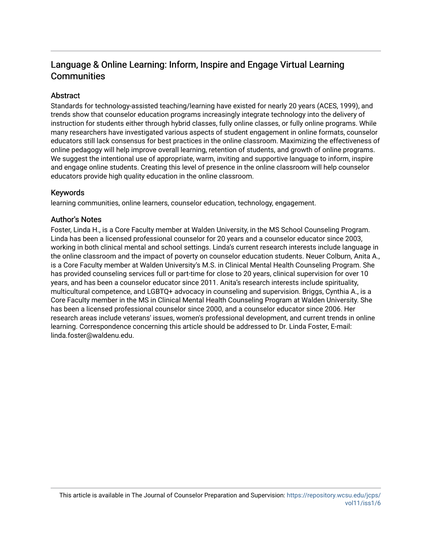# Language & Online Learning: Inform, Inspire and Engage Virtual Learning **Communities**

# **Abstract**

Standards for technology-assisted teaching/learning have existed for nearly 20 years (ACES, 1999), and trends show that counselor education programs increasingly integrate technology into the delivery of instruction for students either through hybrid classes, fully online classes, or fully online programs. While many researchers have investigated various aspects of student engagement in online formats, counselor educators still lack consensus for best practices in the online classroom. Maximizing the effectiveness of online pedagogy will help improve overall learning, retention of students, and growth of online programs. We suggest the intentional use of appropriate, warm, inviting and supportive language to inform, inspire and engage online students. Creating this level of presence in the online classroom will help counselor educators provide high quality education in the online classroom.

# Keywords

learning communities, online learners, counselor education, technology, engagement.

# Author's Notes

Foster, Linda H., is a Core Faculty member at Walden University, in the MS School Counseling Program. Linda has been a licensed professional counselor for 20 years and a counselor educator since 2003, working in both clinical mental and school settings. Linda's current research interests include language in the online classroom and the impact of poverty on counselor education students. Neuer Colburn, Anita A., is a Core Faculty member at Walden University's M.S. in Clinical Mental Health Counseling Program. She has provided counseling services full or part-time for close to 20 years, clinical supervision for over 10 years, and has been a counselor educator since 2011. Anita's research interests include spirituality, multicultural competence, and LGBTQ+ advocacy in counseling and supervision. Briggs, Cynthia A., is a Core Faculty member in the MS in Clinical Mental Health Counseling Program at Walden University. She has been a licensed professional counselor since 2000, and a counselor educator since 2006. Her research areas include veterans' issues, women's professional development, and current trends in online learning. Correspondence concerning this article should be addressed to Dr. Linda Foster, E-mail: linda.foster@waldenu.edu.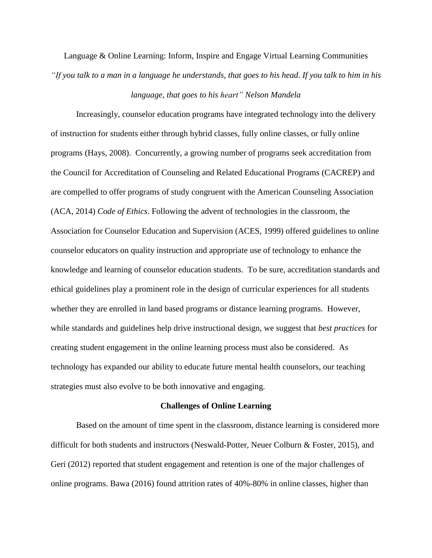Language & Online Learning: Inform, Inspire and Engage Virtual Learning Communities "If you talk to a man in a language he understands, that goes to his head. If you talk to him in his

#### *language, that goes to his heart" Nelson Mandela*

Increasingly, counselor education programs have integrated technology into the delivery of instruction for students either through hybrid classes, fully online classes, or fully online programs (Hays, 2008). Concurrently, a growing number of programs seek accreditation from the Council for Accreditation of Counseling and Related Educational Programs (CACREP) and are compelled to offer programs of study congruent with the American Counseling Association (ACA, 2014) *Code of Ethics*. Following the advent of technologies in the classroom, the Association for Counselor Education and Supervision (ACES, 1999) offered guidelines to online counselor educators on quality instruction and appropriate use of technology to enhance the knowledge and learning of counselor education students. To be sure, accreditation standards and ethical guidelines play a prominent role in the design of curricular experiences for all students whether they are enrolled in land based programs or distance learning programs. However, while standards and guidelines help drive instructional design, we suggest that *best practices* for creating student engagement in the online learning process must also be considered. As technology has expanded our ability to educate future mental health counselors, our teaching strategies must also evolve to be both innovative and engaging.

#### **Challenges of Online Learning**

Based on the amount of time spent in the classroom, distance learning is considered more difficult for both students and instructors (Neswald-Potter, Neuer Colburn & Foster, 2015), and Geri (2012) reported that student engagement and retention is one of the major challenges of online programs. Bawa (2016) found attrition rates of 40%-80% in online classes, higher than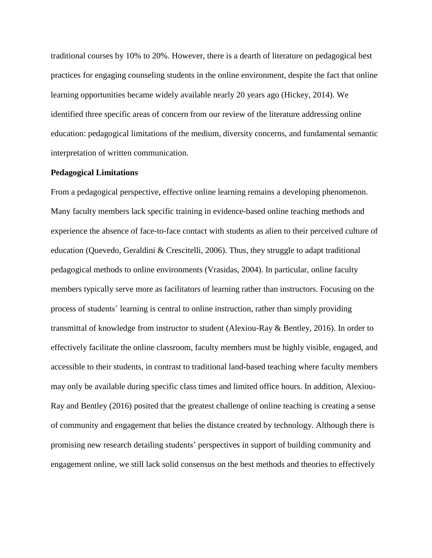traditional courses by 10% to 20%. However, there is a dearth of literature on pedagogical best practices for engaging counseling students in the online environment, despite the fact that online learning opportunities became widely available nearly 20 years ago (Hickey, 2014). We identified three specific areas of concern from our review of the literature addressing online education: pedagogical limitations of the medium, diversity concerns, and fundamental semantic interpretation of written communication.

#### **Pedagogical Limitations**

From a pedagogical perspective, effective online learning remains a developing phenomenon. Many faculty members lack specific training in evidence-based online teaching methods and experience the absence of face-to-face contact with students as alien to their perceived culture of education (Quevedo, Geraldini & Crescitelli, 2006). Thus, they struggle to adapt traditional pedagogical methods to online environments (Vrasidas, 2004). In particular, online faculty members typically serve more as facilitators of learning rather than instructors. Focusing on the process of students' learning is central to online instruction, rather than simply providing transmittal of knowledge from instructor to student (Alexiou-Ray & Bentley, 2016). In order to effectively facilitate the online classroom, faculty members must be highly visible, engaged, and accessible to their students, in contrast to traditional land-based teaching where faculty members may only be available during specific class times and limited office hours. In addition, Alexiou-Ray and Bentley (2016) posited that the greatest challenge of online teaching is creating a sense of community and engagement that belies the distance created by technology. Although there is promising new research detailing students' perspectives in support of building community and engagement online, we still lack solid consensus on the best methods and theories to effectively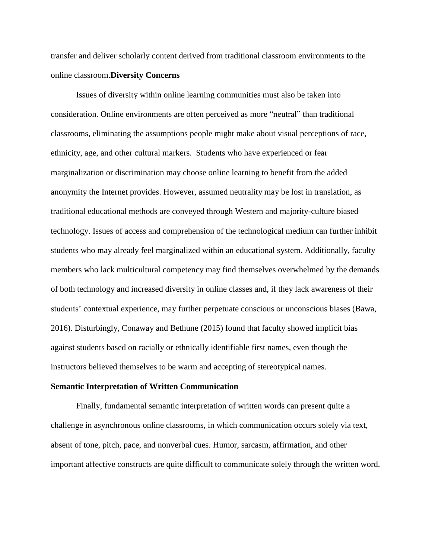transfer and deliver scholarly content derived from traditional classroom environments to the online classroom.**Diversity Concerns**

Issues of diversity within online learning communities must also be taken into consideration. Online environments are often perceived as more "neutral" than traditional classrooms, eliminating the assumptions people might make about visual perceptions of race, ethnicity, age, and other cultural markers. Students who have experienced or fear marginalization or discrimination may choose online learning to benefit from the added anonymity the Internet provides. However, assumed neutrality may be lost in translation, as traditional educational methods are conveyed through Western and majority-culture biased technology. Issues of access and comprehension of the technological medium can further inhibit students who may already feel marginalized within an educational system. Additionally, faculty members who lack multicultural competency may find themselves overwhelmed by the demands of both technology and increased diversity in online classes and, if they lack awareness of their students' contextual experience, may further perpetuate conscious or unconscious biases (Bawa, 2016). Disturbingly, Conaway and Bethune (2015) found that faculty showed implicit bias against students based on racially or ethnically identifiable first names, even though the instructors believed themselves to be warm and accepting of stereotypical names.

#### **Semantic Interpretation of Written Communication**

Finally, fundamental semantic interpretation of written words can present quite a challenge in asynchronous online classrooms, in which communication occurs solely via text, absent of tone, pitch, pace, and nonverbal cues. Humor, sarcasm, affirmation, and other important affective constructs are quite difficult to communicate solely through the written word.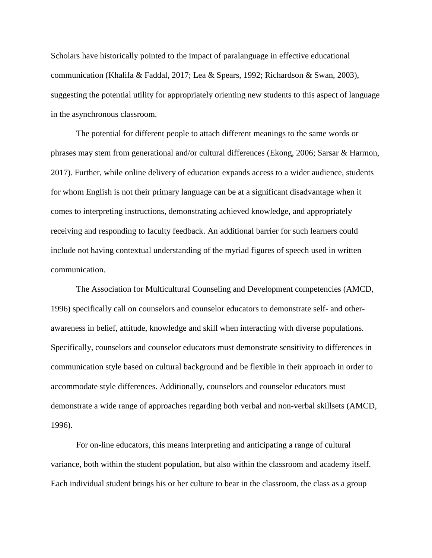Scholars have historically pointed to the impact of paralanguage in effective educational communication (Khalifa & Faddal, 2017; Lea & Spears, 1992; Richardson & Swan, 2003), suggesting the potential utility for appropriately orienting new students to this aspect of language in the asynchronous classroom.

The potential for different people to attach different meanings to the same words or phrases may stem from generational and/or cultural differences (Ekong, 2006; Sarsar & Harmon, 2017). Further, while online delivery of education expands access to a wider audience, students for whom English is not their primary language can be at a significant disadvantage when it comes to interpreting instructions, demonstrating achieved knowledge, and appropriately receiving and responding to faculty feedback. An additional barrier for such learners could include not having contextual understanding of the myriad figures of speech used in written communication.

The Association for Multicultural Counseling and Development competencies (AMCD, 1996) specifically call on counselors and counselor educators to demonstrate self- and otherawareness in belief, attitude, knowledge and skill when interacting with diverse populations. Specifically, counselors and counselor educators must demonstrate sensitivity to differences in communication style based on cultural background and be flexible in their approach in order to accommodate style differences. Additionally, counselors and counselor educators must demonstrate a wide range of approaches regarding both verbal and non-verbal skillsets (AMCD, 1996).

For on-line educators, this means interpreting and anticipating a range of cultural variance, both within the student population, but also within the classroom and academy itself. Each individual student brings his or her culture to bear in the classroom, the class as a group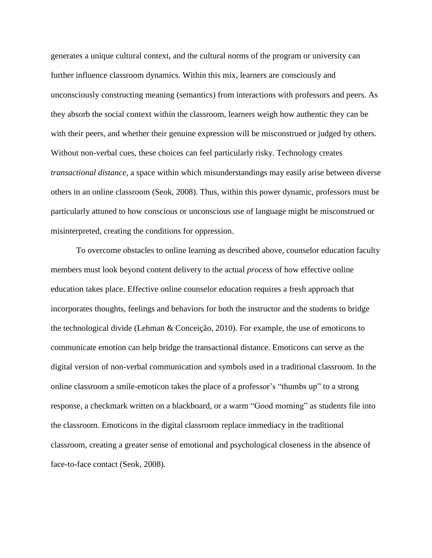generates a unique cultural context, and the cultural norms of the program or university can further influence classroom dynamics. Within this mix, learners are consciously and unconsciously constructing meaning (semantics) from interactions with professors and peers. As they absorb the social context within the classroom, learners weigh how authentic they can be with their peers, and whether their genuine expression will be misconstrued or judged by others. Without non-verbal cues, these choices can feel particularly risky. Technology creates *transactional distance*, a space within which misunderstandings may easily arise between diverse others in an online classroom (Seok, 2008). Thus, within this power dynamic, professors must be particularly attuned to how conscious or unconscious use of language might be misconstrued or misinterpreted, creating the conditions for oppression.

To overcome obstacles to online learning as described above, counselor education faculty members must look beyond content delivery to the actual *process* of how effective online education takes place. Effective online counselor education requires a fresh approach that incorporates thoughts, feelings and behaviors for both the instructor and the students to bridge the technological divide (Lehman & Conceição, 2010). For example, the use of emoticons to communicate emotion can help bridge the transactional distance. Emoticons can serve as the digital version of non-verbal communication and symbols used in a traditional classroom. In the online classroom a smile-emoticon takes the place of a professor's "thumbs up" to a strong response, a checkmark written on a blackboard, or a warm "Good morning" as students file into the classroom. Emoticons in the digital classroom replace immediacy in the traditional classroom, creating a greater sense of emotional and psychological closeness in the absence of face-to-face contact (Seok, 2008).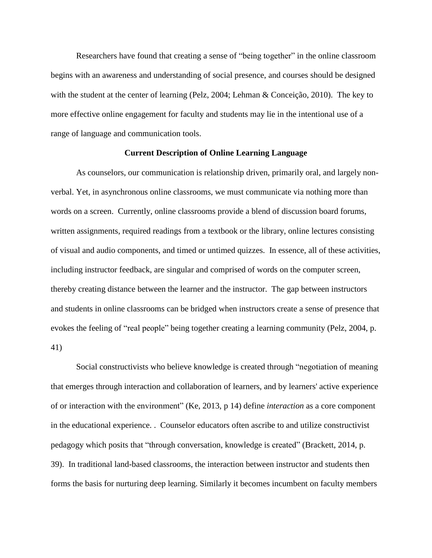Researchers have found that creating a sense of "being together" in the online classroom begins with an awareness and understanding of social presence, and courses should be designed with the student at the center of learning (Pelz, 2004; Lehman & Conceição, 2010). The key to more effective online engagement for faculty and students may lie in the intentional use of a range of language and communication tools.

#### **Current Description of Online Learning Language**

As counselors, our communication is relationship driven, primarily oral, and largely nonverbal. Yet, in asynchronous online classrooms, we must communicate via nothing more than words on a screen. Currently, online classrooms provide a blend of discussion board forums, written assignments, required readings from a textbook or the library, online lectures consisting of visual and audio components, and timed or untimed quizzes. In essence, all of these activities, including instructor feedback, are singular and comprised of words on the computer screen, thereby creating distance between the learner and the instructor. The gap between instructors and students in online classrooms can be bridged when instructors create a sense of presence that evokes the feeling of "real people" being together creating a learning community (Pelz, 2004, p. 41)

Social constructivists who believe knowledge is created through "negotiation of meaning that emerges through interaction and collaboration of learners, and by learners' active experience of or interaction with the environment" (Ke, 2013, p 14) define *interaction* as a core component in the educational experience. . Counselor educators often ascribe to and utilize constructivist pedagogy which posits that "through conversation, knowledge is created" (Brackett, 2014, p. 39). In traditional land-based classrooms, the interaction between instructor and students then forms the basis for nurturing deep learning. Similarly it becomes incumbent on faculty members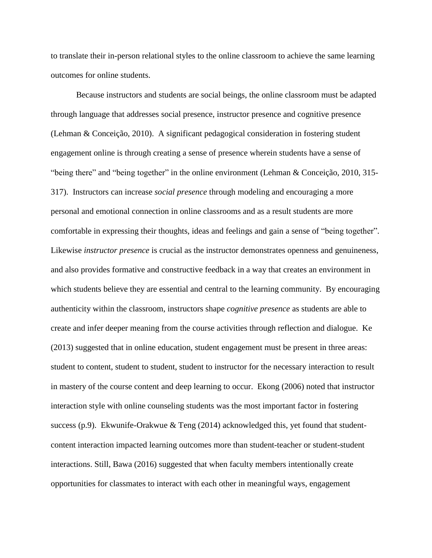to translate their in-person relational styles to the online classroom to achieve the same learning outcomes for online students.

Because instructors and students are social beings, the online classroom must be adapted through language that addresses social presence, instructor presence and cognitive presence (Lehman & Conceição, 2010). A significant pedagogical consideration in fostering student engagement online is through creating a sense of presence wherein students have a sense of "being there" and "being together" in the online environment (Lehman & Conceição, 2010, 315- 317). Instructors can increase *social presence* through modeling and encouraging a more personal and emotional connection in online classrooms and as a result students are more comfortable in expressing their thoughts, ideas and feelings and gain a sense of "being together". Likewise *instructor presence* is crucial as the instructor demonstrates openness and genuineness, and also provides formative and constructive feedback in a way that creates an environment in which students believe they are essential and central to the learning community. By encouraging authenticity within the classroom, instructors shape *cognitive presence* as students are able to create and infer deeper meaning from the course activities through reflection and dialogue. Ke (2013) suggested that in online education, student engagement must be present in three areas: student to content, student to student, student to instructor for the necessary interaction to result in mastery of the course content and deep learning to occur. Ekong (2006) noted that instructor interaction style with online counseling students was the most important factor in fostering success (p.9). Ekwunife-Orakwue & Teng  $(2014)$  acknowledged this, yet found that studentcontent interaction impacted learning outcomes more than student-teacher or student-student interactions. Still, Bawa (2016) suggested that when faculty members intentionally create opportunities for classmates to interact with each other in meaningful ways, engagement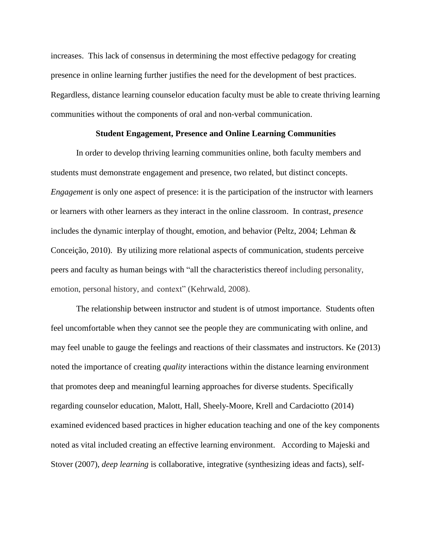increases. This lack of consensus in determining the most effective pedagogy for creating presence in online learning further justifies the need for the development of best practices. Regardless, distance learning counselor education faculty must be able to create thriving learning communities without the components of oral and non-verbal communication.

#### **Student Engagement, Presence and Online Learning Communities**

In order to develop thriving learning communities online, both faculty members and students must demonstrate engagement and presence, two related, but distinct concepts. *Engagement* is only one aspect of presence: it is the participation of the instructor with learners or learners with other learners as they interact in the online classroom. In contrast, *presence* includes the dynamic interplay of thought, emotion, and behavior (Peltz, 2004; Lehman  $\&$ Conceição, 2010). By utilizing more relational aspects of communication, students perceive peers and faculty as human beings with "all the characteristics thereof including personality, emotion, personal history, and context" (Kehrwald, 2008).

The relationship between instructor and student is of utmost importance. Students often feel uncomfortable when they cannot see the people they are communicating with online, and may feel unable to gauge the feelings and reactions of their classmates and instructors. Ke (2013) noted the importance of creating *quality* interactions within the distance learning environment that promotes deep and meaningful learning approaches for diverse students. Specifically regarding counselor education, Malott, Hall, Sheely-Moore, Krell and Cardaciotto (2014) examined evidenced based practices in higher education teaching and one of the key components noted as vital included creating an effective learning environment. According to Majeski and Stover (2007), *deep learning* is collaborative, integrative (synthesizing ideas and facts), self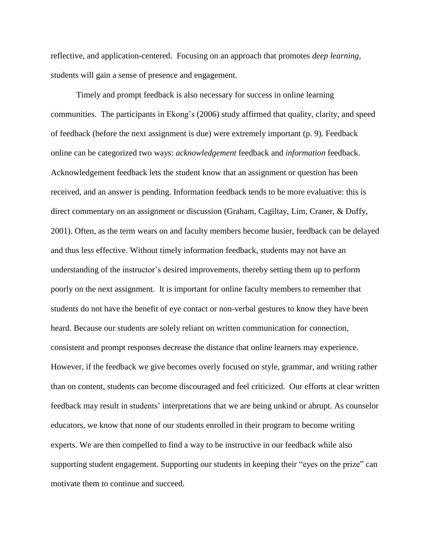reflective, and application-centered. Focusing on an approach that promotes *deep learning,* students will gain a sense of presence and engagement.

Timely and prompt feedback is also necessary for success in online learning communities. The participants in Ekong's (2006) study affirmed that quality, clarity, and speed of feedback (before the next assignment is due) were extremely important (p. 9). Feedback online can be categorized two ways: *acknowledgement* feedback and *information* feedback. Acknowledgement feedback lets the student know that an assignment or question has been received, and an answer is pending. Information feedback tends to be more evaluative: this is direct commentary on an assignment or discussion (Graham, Cagiltay, Lim, Craner, & Duffy, 2001). Often, as the term wears on and faculty members become busier, feedback can be delayed and thus less effective. Without timely information feedback, students may not have an understanding of the instructor's desired improvements, thereby setting them up to perform poorly on the next assignment. It is important for online faculty members to remember that students do not have the benefit of eye contact or non-verbal gestures to know they have been heard. Because our students are solely reliant on written communication for connection, consistent and prompt responses decrease the distance that online learners may experience. However, if the feedback we give becomes overly focused on style, grammar, and writing rather than on content, students can become discouraged and feel criticized. Our efforts at clear written feedback may result in students' interpretations that we are being unkind or abrupt. As counselor educators, we know that none of our students enrolled in their program to become writing experts. We are then compelled to find a way to be instructive in our feedback while also supporting student engagement. Supporting our students in keeping their "eyes on the prize" can motivate them to continue and succeed.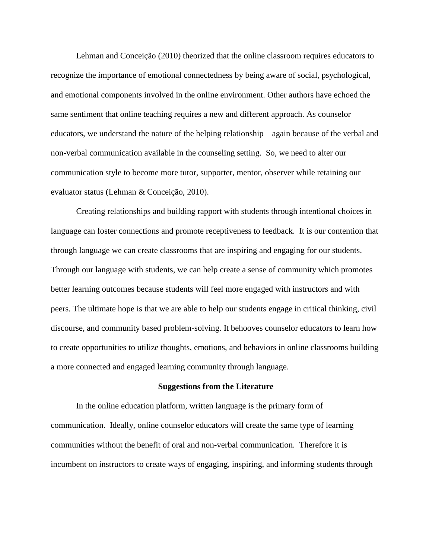Lehman and Conceição (2010) theorized that the online classroom requires educators to recognize the importance of emotional connectedness by being aware of social, psychological, and emotional components involved in the online environment. Other authors have echoed the same sentiment that online teaching requires a new and different approach. As counselor educators, we understand the nature of the helping relationship – again because of the verbal and non-verbal communication available in the counseling setting. So, we need to alter our communication style to become more tutor, supporter, mentor, observer while retaining our evaluator status (Lehman & Conceição, 2010).

Creating relationships and building rapport with students through intentional choices in language can foster connections and promote receptiveness to feedback. It is our contention that through language we can create classrooms that are inspiring and engaging for our students. Through our language with students, we can help create a sense of community which promotes better learning outcomes because students will feel more engaged with instructors and with peers. The ultimate hope is that we are able to help our students engage in critical thinking, civil discourse, and community based problem-solving. It behooves counselor educators to learn how to create opportunities to utilize thoughts, emotions, and behaviors in online classrooms building a more connected and engaged learning community through language.

#### **Suggestions from the Literature**

In the online education platform, written language is the primary form of communication. Ideally, online counselor educators will create the same type of learning communities without the benefit of oral and non-verbal communication. Therefore it is incumbent on instructors to create ways of engaging, inspiring, and informing students through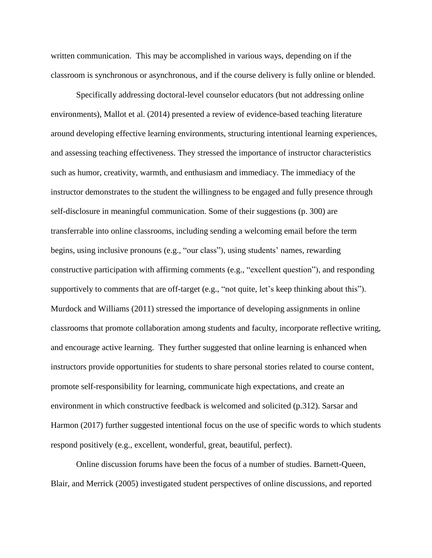written communication. This may be accomplished in various ways, depending on if the classroom is synchronous or asynchronous, and if the course delivery is fully online or blended.

Specifically addressing doctoral-level counselor educators (but not addressing online environments), Mallot et al. (2014) presented a review of evidence-based teaching literature around developing effective learning environments, structuring intentional learning experiences, and assessing teaching effectiveness. They stressed the importance of instructor characteristics such as humor, creativity, warmth, and enthusiasm and immediacy. The immediacy of the instructor demonstrates to the student the willingness to be engaged and fully presence through self-disclosure in meaningful communication. Some of their suggestions (p. 300) are transferrable into online classrooms, including sending a welcoming email before the term begins, using inclusive pronouns (e.g., "our class"), using students' names, rewarding constructive participation with affirming comments (e.g., "excellent question"), and responding supportively to comments that are off-target (e.g., "not quite, let's keep thinking about this"). Murdock and Williams (2011) stressed the importance of developing assignments in online classrooms that promote collaboration among students and faculty, incorporate reflective writing, and encourage active learning. They further suggested that online learning is enhanced when instructors provide opportunities for students to share personal stories related to course content, promote self-responsibility for learning, communicate high expectations, and create an environment in which constructive feedback is welcomed and solicited (p.312). Sarsar and Harmon (2017) further suggested intentional focus on the use of specific words to which students respond positively (e.g., excellent, wonderful, great, beautiful, perfect).

Online discussion forums have been the focus of a number of studies. Barnett-Queen, Blair, and Merrick (2005) investigated student perspectives of online discussions, and reported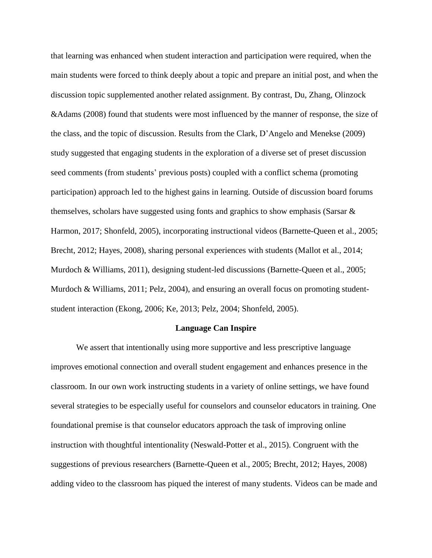that learning was enhanced when student interaction and participation were required, when the main students were forced to think deeply about a topic and prepare an initial post, and when the discussion topic supplemented another related assignment. By contrast, Du, Zhang, Olinzock &Adams (2008) found that students were most influenced by the manner of response, the size of the class, and the topic of discussion. Results from the Clark, D'Angelo and Menekse (2009) study suggested that engaging students in the exploration of a diverse set of preset discussion seed comments (from students' previous posts) coupled with a conflict schema (promoting participation) approach led to the highest gains in learning. Outside of discussion board forums themselves, scholars have suggested using fonts and graphics to show emphasis (Sarsar & Harmon, 2017; Shonfeld, 2005), incorporating instructional videos (Barnette-Queen et al., 2005; Brecht, 2012; Hayes, 2008), sharing personal experiences with students (Mallot et al., 2014; Murdoch & Williams, 2011), designing student-led discussions (Barnette-Queen et al., 2005; Murdoch & Williams, 2011; Pelz, 2004), and ensuring an overall focus on promoting studentstudent interaction (Ekong, 2006; Ke, 2013; Pelz, 2004; Shonfeld, 2005).

#### **Language Can Inspire**

We assert that intentionally using more supportive and less prescriptive language improves emotional connection and overall student engagement and enhances presence in the classroom. In our own work instructing students in a variety of online settings, we have found several strategies to be especially useful for counselors and counselor educators in training. One foundational premise is that counselor educators approach the task of improving online instruction with thoughtful intentionality (Neswald-Potter et al., 2015). Congruent with the suggestions of previous researchers (Barnette-Queen et al., 2005; Brecht, 2012; Hayes, 2008) adding video to the classroom has piqued the interest of many students. Videos can be made and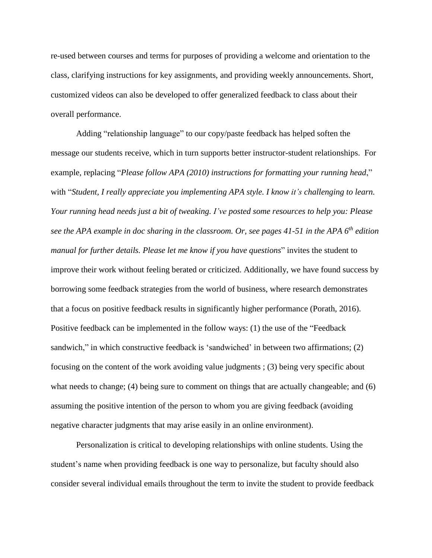re-used between courses and terms for purposes of providing a welcome and orientation to the class, clarifying instructions for key assignments, and providing weekly announcements. Short, customized videos can also be developed to offer generalized feedback to class about their overall performance.

Adding "relationship language" to our copy/paste feedback has helped soften the message our students receive, which in turn supports better instructor-student relationships. For example, replacing "*Please follow APA (2010) instructions for formatting your running head*," with "*Student, I really appreciate you implementing APA style. I know it's challenging to learn. Your running head needs just a bit of tweaking. I've posted some resources to help you: Please* see the APA example in doc sharing in the classroom. Or, see pages 41-51 in the APA 6<sup>th</sup> edition *manual for further details. Please let me know if you have questions*" invites the student to improve their work without feeling berated or criticized. Additionally, we have found success by borrowing some feedback strategies from the world of business, where research demonstrates that a focus on positive feedback results in significantly higher performance (Porath, 2016). Positive feedback can be implemented in the follow ways: (1) the use of the "Feedback sandwich," in which constructive feedback is 'sandwiched' in between two affirmations; (2) focusing on the content of the work avoiding value judgments ; (3) being very specific about what needs to change; (4) being sure to comment on things that are actually changeable; and (6) assuming the positive intention of the person to whom you are giving feedback (avoiding negative character judgments that may arise easily in an online environment).

Personalization is critical to developing relationships with online students. Using the student's name when providing feedback is one way to personalize, but faculty should also consider several individual emails throughout the term to invite the student to provide feedback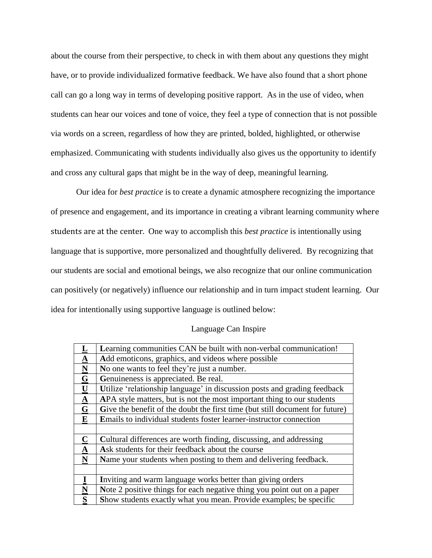about the course from their perspective, to check in with them about any questions they might have, or to provide individualized formative feedback. We have also found that a short phone call can go a long way in terms of developing positive rapport. As in the use of video, when students can hear our voices and tone of voice, they feel a type of connection that is not possible via words on a screen, regardless of how they are printed, bolded, highlighted, or otherwise emphasized. Communicating with students individually also gives us the opportunity to identify and cross any cultural gaps that might be in the way of deep, meaningful learning.

Our idea for *best practice* is to create a dynamic atmosphere recognizing the importance of presence and engagement, and its importance in creating a vibrant learning community where students are at the center. One way to accomplish this *best practice* is intentionally using language that is supportive, more personalized and thoughtfully delivered. By recognizing that our students are social and emotional beings, we also recognize that our online communication can positively (or negatively) influence our relationship and in turn impact student learning. Our idea for intentionally using supportive language is outlined below:

# Language Can Inspire

|                          | Learning communities CAN be built with non-verbal communication!             |
|--------------------------|------------------------------------------------------------------------------|
| $\Delta$                 | Add emoticons, graphics, and videos where possible                           |
| $\underline{\mathbf{N}}$ | No one wants to feel they're just a number.                                  |
| G                        | Genuineness is appreciated. Be real.                                         |
| $\mathbf U$              | Utilize 'relationship language' in discussion posts and grading feedback     |
| $\mathbf{\underline{A}}$ | APA style matters, but is not the most important thing to our students       |
| $\mathbf G$              | Give the benefit of the doubt the first time (but still document for future) |
| ${\bf E}$                | Emails to individual students foster learner-instructor connection           |
|                          |                                                                              |
| $\mathbf C$              | Cultural differences are worth finding, discussing, and addressing           |
| $\underline{\mathbf{A}}$ | Ask students for their feedback about the course                             |
| N                        | Name your students when posting to them and delivering feedback.             |
|                          |                                                                              |
| $\mathbf I$              | Inviting and warm language works better than giving orders                   |
| $\overline{\mathbf{N}}$  | Note 2 positive things for each negative thing you point out on a paper      |
| S                        | Show students exactly what you mean. Provide examples; be specific           |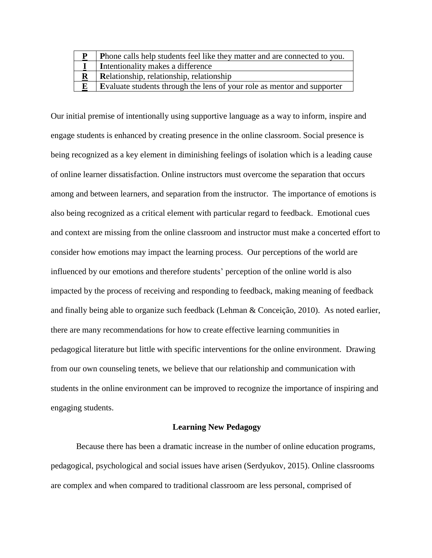| D | Phone calls help students feel like they matter and are connected to you. |
|---|---------------------------------------------------------------------------|
|   | Intentionality makes a difference                                         |
|   | Relationship, relationship, relationship                                  |
|   | Evaluate students through the lens of your role as mentor and supporter   |

Our initial premise of intentionally using supportive language as a way to inform, inspire and engage students is enhanced by creating presence in the online classroom. Social presence is being recognized as a key element in diminishing feelings of isolation which is a leading cause of online learner dissatisfaction. Online instructors must overcome the separation that occurs among and between learners, and separation from the instructor. The importance of emotions is also being recognized as a critical element with particular regard to feedback. Emotional cues and context are missing from the online classroom and instructor must make a concerted effort to consider how emotions may impact the learning process. Our perceptions of the world are influenced by our emotions and therefore students' perception of the online world is also impacted by the process of receiving and responding to feedback, making meaning of feedback and finally being able to organize such feedback (Lehman & Conceição, 2010). As noted earlier, there are many recommendations for how to create effective learning communities in pedagogical literature but little with specific interventions for the online environment. Drawing from our own counseling tenets, we believe that our relationship and communication with students in the online environment can be improved to recognize the importance of inspiring and engaging students.

## **Learning New Pedagogy**

Because there has been a dramatic increase in the number of online education programs, pedagogical, psychological and social issues have arisen (Serdyukov, 2015). Online classrooms are complex and when compared to traditional classroom are less personal, comprised of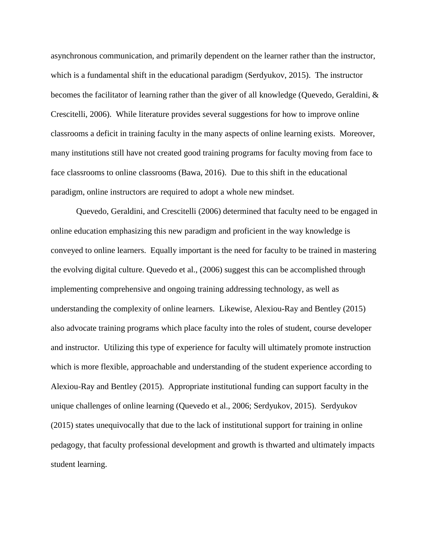asynchronous communication, and primarily dependent on the learner rather than the instructor, which is a fundamental shift in the educational paradigm (Serdyukov, 2015). The instructor becomes the facilitator of learning rather than the giver of all knowledge (Quevedo, Geraldini, & Crescitelli, 2006). While literature provides several suggestions for how to improve online classrooms a deficit in training faculty in the many aspects of online learning exists. Moreover, many institutions still have not created good training programs for faculty moving from face to face classrooms to online classrooms (Bawa, 2016). Due to this shift in the educational paradigm, online instructors are required to adopt a whole new mindset.

Quevedo, Geraldini, and Crescitelli (2006) determined that faculty need to be engaged in online education emphasizing this new paradigm and proficient in the way knowledge is conveyed to online learners. Equally important is the need for faculty to be trained in mastering the evolving digital culture. Quevedo et al., (2006) suggest this can be accomplished through implementing comprehensive and ongoing training addressing technology, as well as understanding the complexity of online learners. Likewise, Alexiou-Ray and Bentley (2015) also advocate training programs which place faculty into the roles of student, course developer and instructor. Utilizing this type of experience for faculty will ultimately promote instruction which is more flexible, approachable and understanding of the student experience according to Alexiou-Ray and Bentley (2015). Appropriate institutional funding can support faculty in the unique challenges of online learning (Quevedo et al., 2006; Serdyukov, 2015). Serdyukov (2015) states unequivocally that due to the lack of institutional support for training in online pedagogy, that faculty professional development and growth is thwarted and ultimately impacts student learning.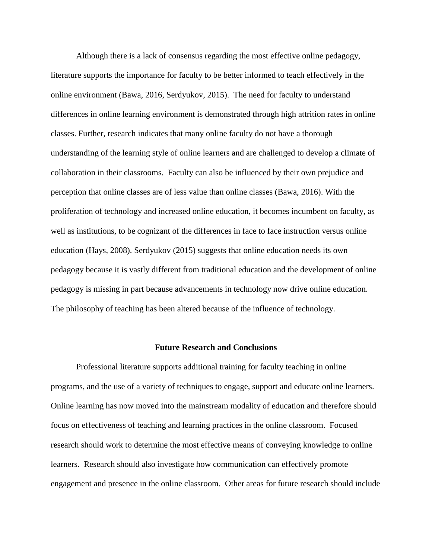Although there is a lack of consensus regarding the most effective online pedagogy, literature supports the importance for faculty to be better informed to teach effectively in the online environment (Bawa, 2016, Serdyukov, 2015). The need for faculty to understand differences in online learning environment is demonstrated through high attrition rates in online classes. Further, research indicates that many online faculty do not have a thorough understanding of the learning style of online learners and are challenged to develop a climate of collaboration in their classrooms. Faculty can also be influenced by their own prejudice and perception that online classes are of less value than online classes (Bawa, 2016). With the proliferation of technology and increased online education, it becomes incumbent on faculty, as well as institutions, to be cognizant of the differences in face to face instruction versus online education (Hays, 2008). Serdyukov (2015) suggests that online education needs its own pedagogy because it is vastly different from traditional education and the development of online pedagogy is missing in part because advancements in technology now drive online education. The philosophy of teaching has been altered because of the influence of technology.

#### **Future Research and Conclusions**

Professional literature supports additional training for faculty teaching in online programs, and the use of a variety of techniques to engage, support and educate online learners. Online learning has now moved into the mainstream modality of education and therefore should focus on effectiveness of teaching and learning practices in the online classroom. Focused research should work to determine the most effective means of conveying knowledge to online learners. Research should also investigate how communication can effectively promote engagement and presence in the online classroom. Other areas for future research should include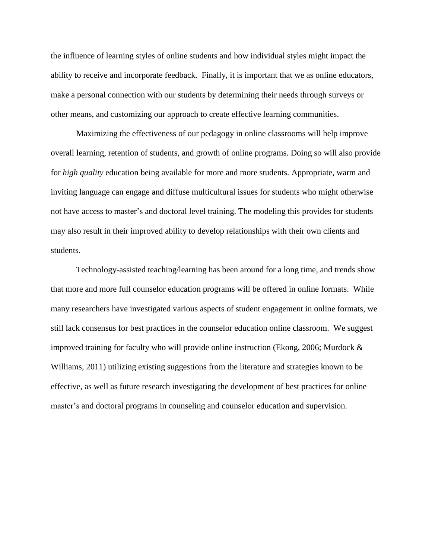the influence of learning styles of online students and how individual styles might impact the ability to receive and incorporate feedback. Finally, it is important that we as online educators, make a personal connection with our students by determining their needs through surveys or other means, and customizing our approach to create effective learning communities.

Maximizing the effectiveness of our pedagogy in online classrooms will help improve overall learning, retention of students, and growth of online programs. Doing so will also provide for *high quality* education being available for more and more students. Appropriate, warm and inviting language can engage and diffuse multicultural issues for students who might otherwise not have access to master's and doctoral level training. The modeling this provides for students may also result in their improved ability to develop relationships with their own clients and students.

Technology-assisted teaching/learning has been around for a long time, and trends show that more and more full counselor education programs will be offered in online formats. While many researchers have investigated various aspects of student engagement in online formats, we still lack consensus for best practices in the counselor education online classroom. We suggest improved training for faculty who will provide online instruction (Ekong, 2006; Murdock & Williams, 2011) utilizing existing suggestions from the literature and strategies known to be effective, as well as future research investigating the development of best practices for online master's and doctoral programs in counseling and counselor education and supervision.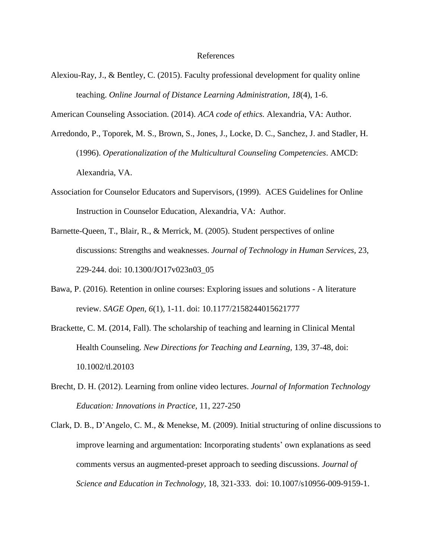Alexiou-Ray, J., & Bentley, C. (2015). Faculty professional development for quality online teaching. *Online Journal of Distance Learning Administration, 18*(4), 1-6.

American Counseling Association. (2014). *ACA code of ethics.* Alexandria, VA: Author.

- Arredondo, P., Toporek, M. S., Brown, S., Jones, J., Locke, D. C., Sanchez, J. and Stadler, H. (1996). *Operationalization of the Multicultural Counseling Competencies*. AMCD: Alexandria, VA.
- Association for Counselor Educators and Supervisors, (1999). ACES Guidelines for Online Instruction in Counselor Education, Alexandria, VA: Author.
- Barnette-Queen, T., Blair, R., & Merrick, M. (2005). Student perspectives of online discussions: Strengths and weaknesses. *Journal of Technology in Human Services,* 23, 229-244. doi: 10.1300/JO17v023n03\_05
- Bawa, P. (2016). Retention in online courses: Exploring issues and solutions A literature review. *SAGE Open, 6*(1), 1-11. doi: 10.1177/2158244015621777
- Brackette, C. M. (2014, Fall). The scholarship of teaching and learning in Clinical Mental Health Counseling. *New Directions for Teaching and Learning,* 139, 37-48, doi: 10.1002/tl.20103
- Brecht, D. H. (2012). Learning from online video lectures. *Journal of Information Technology Education: Innovations in Practice,* 11, 227-250
- Clark, D. B., D'Angelo, C. M., & Menekse, M. (2009). Initial structuring of online discussions to improve learning and argumentation: Incorporating students' own explanations as seed comments versus an augmented-preset approach to seeding discussions. *Journal of Science and Education in Technology,* 18, 321-333. doi: 10.1007/s10956-009-9159-1.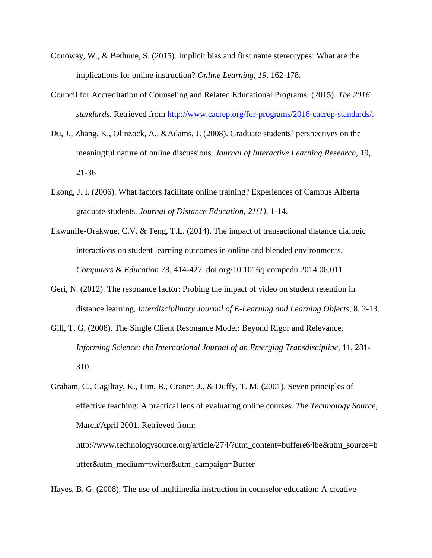- Conoway, W., & Bethune, S. (2015). Implicit bias and first name stereotypes: What are the implications for online instruction? *Online Learning, 19,* 162-178.
- Council for Accreditation of Counseling and Related Educational Programs. (2015). *The 2016 standards.* Retrieved from [http://www.cacrep.org/for-programs/2016-cacrep-standards/.](http://www.cacrep.org/for-programs/2016-cacrep-standards/)
- Du, J., Zhang, K., Olinzock, A., &Adams, J. (2008). Graduate students' perspectives on the meaningful nature of online discussions. *Journal of Interactive Learning Research,* 19, 21-36
- Ekong, J. I. (2006). What factors facilitate online training? Experiences of Campus Alberta graduate students. *Journal of Distance Education, 21(1),* 1-14.
- Ekwunife-Orakwue, C.V. & Teng, T.L. (2014). The impact of transactional distance dialogic interactions on student learning outcomes in online and blended environments. *Computers & Education* 78, 414-427. doi.org/10.1016/j.compedu.2014.06.011
- Geri, N. (2012). The resonance factor: Probing the impact of video on student retention in distance learning, *Interdisciplinary Journal of E-Learning and Learning Objects,* 8, 2-13.
- Gill, T. G. (2008). The Single Client Resonance Model: Beyond Rigor and Relevance, *Informing Science: the International Journal of an Emerging Transdiscipline,* 11, 281- 310.
- Graham, C., Cagiltay, K., Lim, B., Craner, J., & Duffy, T. M. (2001). Seven principles of effective teaching: A practical lens of evaluating online courses. *The Technology Source,* March/April 2001. Retrieved from: http://www.technologysource.org/article/274/?utm\_content=buffere64be&utm\_source=b uffer&utm\_medium=twitter&utm\_campaign=Buffer

Hayes, B. G. (2008). The use of multimedia instruction in counselor education: A creative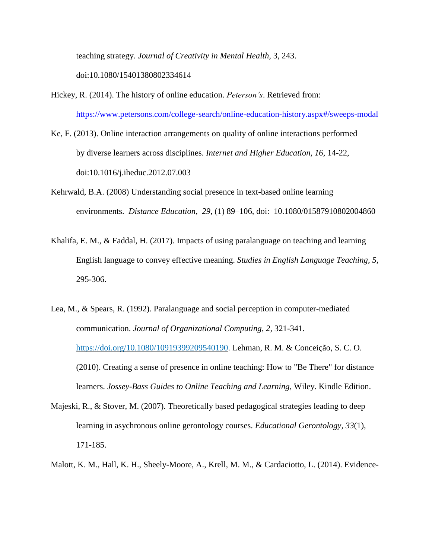teaching strategy. *Journal of Creativity in Mental Health,* 3, 243.

doi:10.1080/15401380802334614

- Hickey, R. (2014). The history of online education. *Peterson's*. Retrieved from: <https://www.petersons.com/college-search/online-education-history.aspx#/sweeps-modal>
- Ke, F. (2013). Online interaction arrangements on quality of online interactions performed by diverse learners across disciplines. *Internet and Higher Education, 16,* 14-22, doi:10.1016/j.iheduc.2012.07.003
- Kehrwald, B.A. (2008) Understanding social presence in text-based online learning environments. *Distance Education*, *29*, (1) 89–106, doi: 10.1080/01587910802004860
- Khalifa, E. M., & Faddal, H. (2017). Impacts of using paralanguage on teaching and learning English language to convey effective meaning. *Studies in English Language Teaching, 5,* 295-306.
- Lea, M., & Spears, R. (1992). Paralanguage and social perception in computer-mediated communication. *Journal of Organizational Computing, 2,* 321-341. [https://doi.org/10.1080/10919399209540190.](https://doi.org/10.1080/10919399209540190) Lehman, R. M. & Conceição, S. C. O. (2010). Creating a sense of presence in online teaching: How to "Be There" for distance learners. *Jossey-Bass Guides to Online Teaching and Learning,* Wiley. Kindle Edition.
- Majeski, R., & Stover, M. (2007). Theoretically based pedagogical strategies leading to deep learning in asychronous online gerontology courses. *Educational Gerontology, 33*(1), 171-185.
- Malott, K. M., Hall, K. H., Sheely-Moore, A., Krell, M. M., & Cardaciotto, L. (2014). Evidence-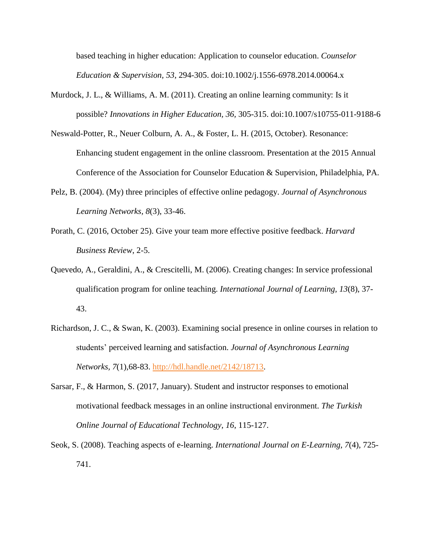based teaching in higher education: Application to counselor education. *Counselor Education & Supervision, 53*, 294-305. doi:10.1002/j.1556-6978.2014.00064.x

- Murdock, J. L., & Williams, A. M. (2011). Creating an online learning community: Is it possible? *Innovations in Higher Education, 36,* 305-315. doi:10.1007/s10755-011-9188-6
- Neswald-Potter, R., Neuer Colburn, A. A., & Foster, L. H. (2015, October). Resonance: Enhancing student engagement in the online classroom. Presentation at the 2015 Annual Conference of the Association for Counselor Education & Supervision, Philadelphia, PA.
- Pelz, B. (2004). (My) three principles of effective online pedagogy. *Journal of Asynchronous Learning Networks, 8*(3), 33-46.
- Porath, C. (2016, October 25). Give your team more effective positive feedback. *Harvard Business Review*, 2-5.
- Quevedo, A., Geraldini, A., & Crescitelli, M. (2006). Creating changes: In service professional qualification program for online teaching. *International Journal of Learning, 13*(8), 37- 43.
- Richardson, J. C., & Swan, K. (2003). Examining social presence in online courses in relation to students' perceived learning and satisfaction. *Journal of Asynchronous Learning Networks, 7*(1)*,*68-83. [http://hdl.handle.net/2142/18713.](http://hdl.handle.net/2142/18713)
- Sarsar, F., & Harmon, S. (2017, January). Student and instructor responses to emotional motivational feedback messages in an online instructional environment. *The Turkish Online Journal of Educational Technology*, *16*, 115-127.
- Seok, S. (2008). Teaching aspects of e-learning. *International Journal on E-Learning, 7*(4), 725- 741.